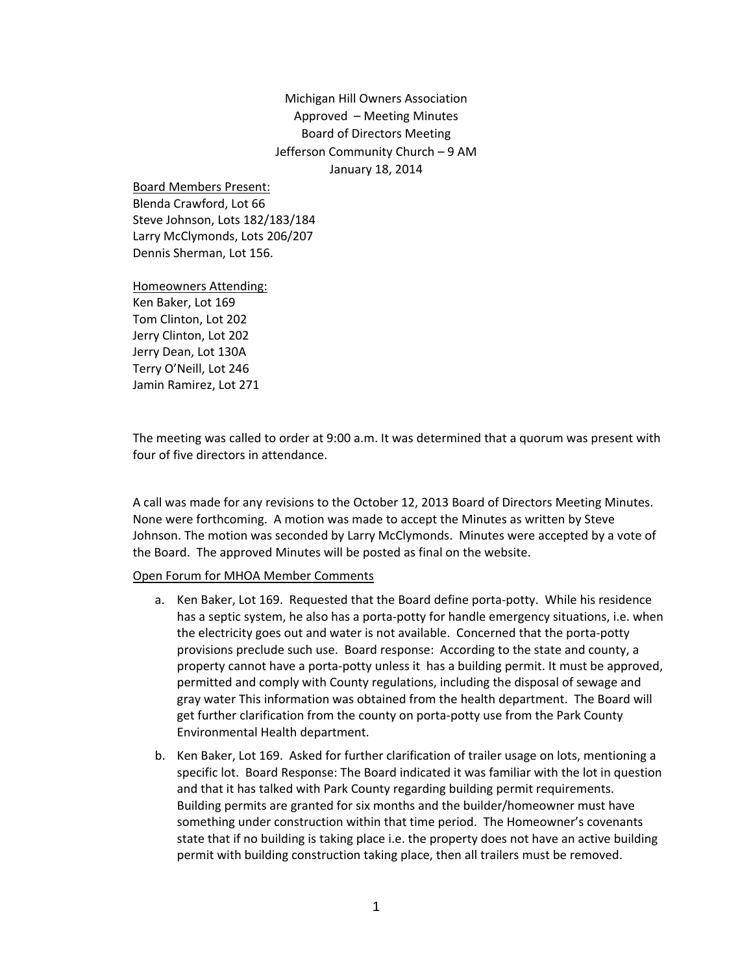Michigan Hill Owners Association Approved – Meeting Minutes Board of Directors Meeting Jefferson Community Church – 9 AM January 18, 2014

Board Members Present: Blenda Crawford, Lot 66 Steve Johnson, Lots 182/183/184 Larry McClymonds, Lots 206/207 Dennis Sherman, Lot 156.

Homeowners Attending: Ken Baker, Lot 169 Tom Clinton, Lot 202 Jerry Clinton, Lot 202 Jerry Dean, Lot 130A Terry O'Neill, Lot 246 Jamin Ramirez, Lot 271

The meeting was called to order at 9:00 a.m. It was determined that a quorum was present with four of five directors in attendance.

A call was made for any revisions to the October 12, 2013 Board of Directors Meeting Minutes. None were forthcoming. A motion was made to accept the Minutes as written by Steve Johnson. The motion was seconded by Larry McClymonds. Minutes were accepted by a vote of the Board. The approved Minutes will be posted as final on the website.

#### Open Forum for MHOA Member Comments

- a. Ken Baker, Lot 169. Requested that the Board define porta‐potty. While his residence has a septic system, he also has a porta‐potty for handle emergency situations, i.e. when the electricity goes out and water is not available. Concerned that the porta‐potty provisions preclude such use. Board response: According to the state and county, a property cannot have a porta‐potty unless it has a building permit. It must be approved, permitted and comply with County regulations, including the disposal of sewage and gray water This information was obtained from the health department. The Board will get further clarification from the county on porta‐potty use from the Park County Environmental Health department.
- b. Ken Baker, Lot 169. Asked for further clarification of trailer usage on lots, mentioning a specific lot. Board Response: The Board indicated it was familiar with the lot in question and that it has talked with Park County regarding building permit requirements. Building permits are granted for six months and the builder/homeowner must have something under construction within that time period. The Homeowner's covenants state that if no building is taking place i.e. the property does not have an active building permit with building construction taking place, then all trailers must be removed.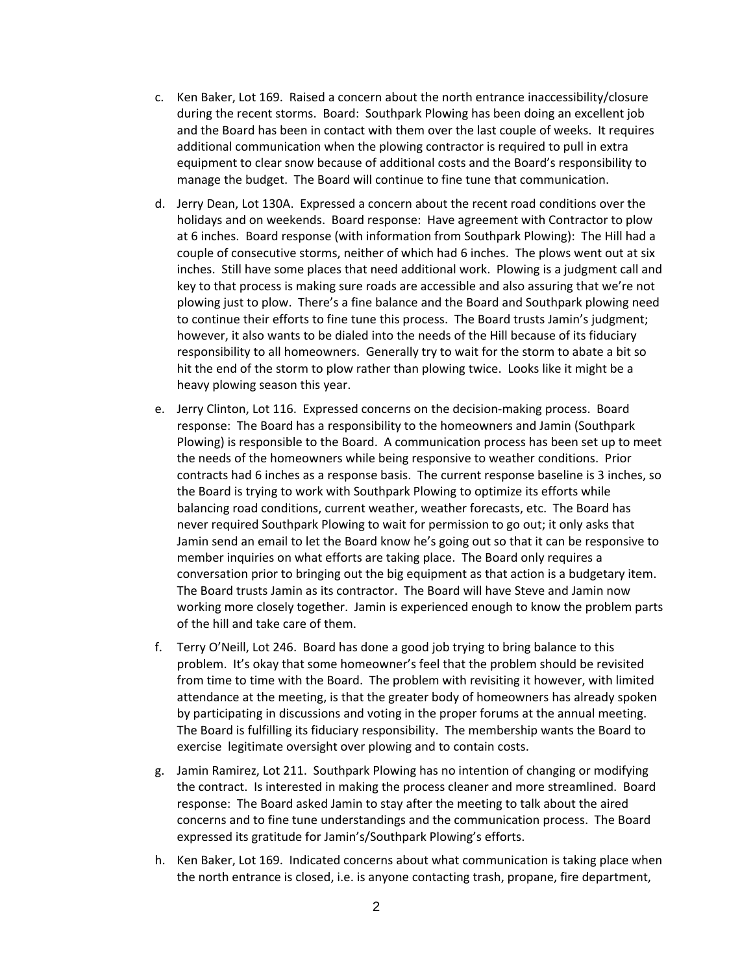- c. Ken Baker, Lot 169. Raised a concern about the north entrance inaccessibility/closure during the recent storms. Board: Southpark Plowing has been doing an excellent job and the Board has been in contact with them over the last couple of weeks. It requires additional communication when the plowing contractor is required to pull in extra equipment to clear snow because of additional costs and the Board's responsibility to manage the budget. The Board will continue to fine tune that communication.
- d. Jerry Dean, Lot 130A. Expressed a concern about the recent road conditions over the holidays and on weekends. Board response: Have agreement with Contractor to plow at 6 inches. Board response (with information from Southpark Plowing): The Hill had a couple of consecutive storms, neither of which had 6 inches. The plows went out at six inches. Still have some places that need additional work. Plowing is a judgment call and key to that process is making sure roads are accessible and also assuring that we're not plowing just to plow. There's a fine balance and the Board and Southpark plowing need to continue their efforts to fine tune this process. The Board trusts Jamin's judgment; however, it also wants to be dialed into the needs of the Hill because of its fiduciary responsibility to all homeowners. Generally try to wait for the storm to abate a bit so hit the end of the storm to plow rather than plowing twice. Looks like it might be a heavy plowing season this year.
- e. Jerry Clinton, Lot 116. Expressed concerns on the decision‐making process. Board response: The Board has a responsibility to the homeowners and Jamin (Southpark Plowing) is responsible to the Board. A communication process has been set up to meet the needs of the homeowners while being responsive to weather conditions. Prior contracts had 6 inches as a response basis. The current response baseline is 3 inches, so the Board is trying to work with Southpark Plowing to optimize its efforts while balancing road conditions, current weather, weather forecasts, etc. The Board has never required Southpark Plowing to wait for permission to go out; it only asks that Jamin send an email to let the Board know he's going out so that it can be responsive to member inquiries on what efforts are taking place. The Board only requires a conversation prior to bringing out the big equipment as that action is a budgetary item. The Board trusts Jamin as its contractor. The Board will have Steve and Jamin now working more closely together. Jamin is experienced enough to know the problem parts of the hill and take care of them.
- f. Terry O'Neill, Lot 246. Board has done a good job trying to bring balance to this problem. It's okay that some homeowner's feel that the problem should be revisited from time to time with the Board. The problem with revisiting it however, with limited attendance at the meeting, is that the greater body of homeowners has already spoken by participating in discussions and voting in the proper forums at the annual meeting. The Board is fulfilling its fiduciary responsibility. The membership wants the Board to exercise legitimate oversight over plowing and to contain costs.
- g. Jamin Ramirez, Lot 211. Southpark Plowing has no intention of changing or modifying the contract. Is interested in making the process cleaner and more streamlined. Board response: The Board asked Jamin to stay after the meeting to talk about the aired concerns and to fine tune understandings and the communication process. The Board expressed its gratitude for Jamin's/Southpark Plowing's efforts.
- h. Ken Baker, Lot 169. Indicated concerns about what communication is taking place when the north entrance is closed, i.e. is anyone contacting trash, propane, fire department,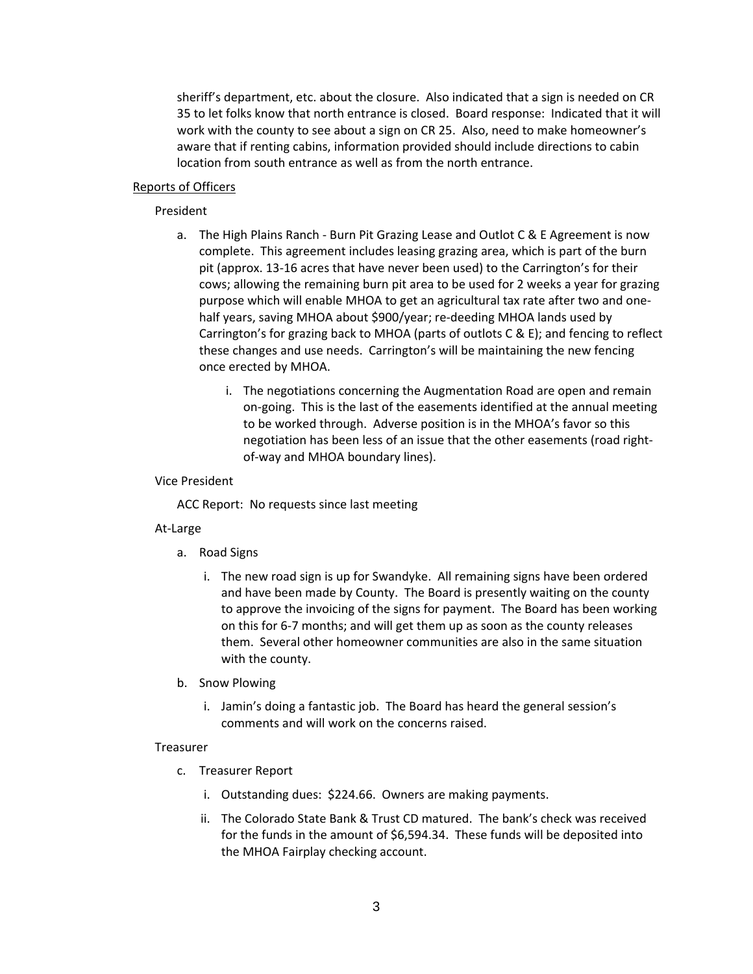sheriff's department, etc. about the closure. Also indicated that a sign is needed on CR 35 to let folks know that north entrance is closed. Board response: Indicated that it will work with the county to see about a sign on CR 25. Also, need to make homeowner's aware that if renting cabins, information provided should include directions to cabin location from south entrance as well as from the north entrance.

# Reports of Officers

# President

- a. The High Plains Ranch ‐ Burn Pit Grazing Lease and Outlot C & E Agreement is now complete. This agreement includes leasing grazing area, which is part of the burn pit (approx. 13‐16 acres that have never been used) to the Carrington's for their cows; allowing the remaining burn pit area to be used for 2 weeks a year for grazing purpose which will enable MHOA to get an agricultural tax rate after two and one‐ half years, saving MHOA about \$900/year; re-deeding MHOA lands used by Carrington's for grazing back to MHOA (parts of outlots C & E); and fencing to reflect these changes and use needs. Carrington's will be maintaining the new fencing once erected by MHOA.
	- i. The negotiations concerning the Augmentation Road are open and remain on‐going. This is the last of the easements identified at the annual meeting to be worked through. Adverse position is in the MHOA's favor so this negotiation has been less of an issue that the other easements (road right‐ of‐way and MHOA boundary lines).

### Vice President

ACC Report: No requests since last meeting

## At‐Large

- a. Road Signs
	- i. The new road sign is up for Swandyke. All remaining signs have been ordered and have been made by County. The Board is presently waiting on the county to approve the invoicing of the signs for payment. The Board has been working on this for 6‐7 months; and will get them up as soon as the county releases them. Several other homeowner communities are also in the same situation with the county.
- b. Snow Plowing
	- i. Jamin's doing a fantastic job. The Board has heard the general session's comments and will work on the concerns raised.

## Treasurer

- c. Treasurer Report
	- i. Outstanding dues: \$224.66. Owners are making payments.
	- ii. The Colorado State Bank & Trust CD matured. The bank's check was received for the funds in the amount of \$6,594.34. These funds will be deposited into the MHOA Fairplay checking account.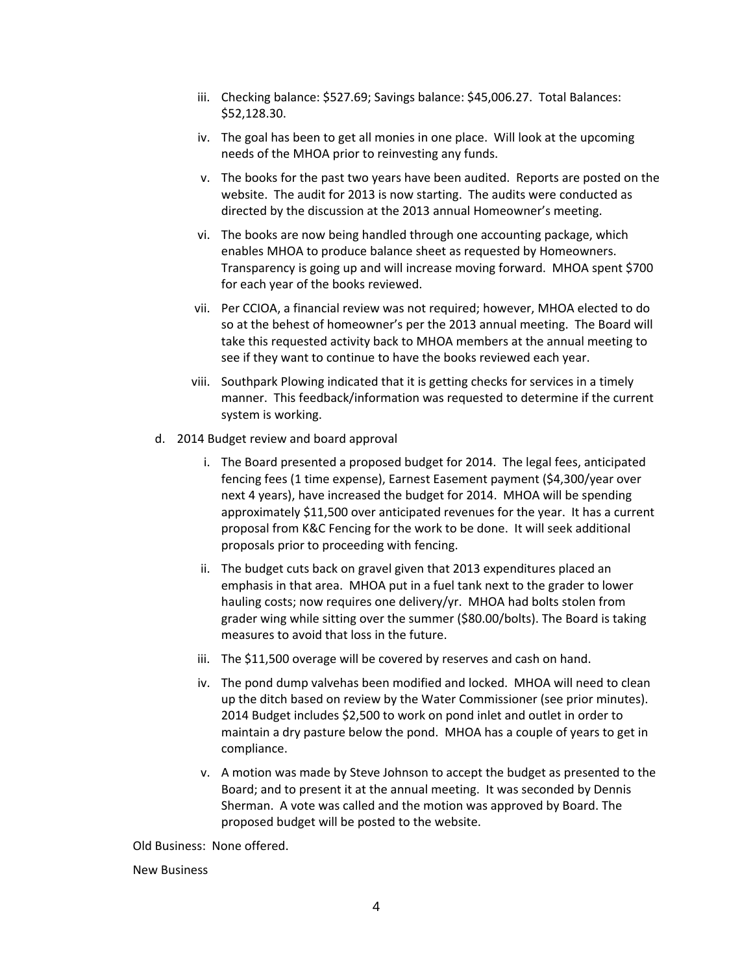- iii. Checking balance: \$527.69; Savings balance: \$45,006.27. Total Balances: \$52,128.30.
- iv. The goal has been to get all monies in one place. Will look at the upcoming needs of the MHOA prior to reinvesting any funds.
- v. The books for the past two years have been audited. Reports are posted on the website. The audit for 2013 is now starting. The audits were conducted as directed by the discussion at the 2013 annual Homeowner's meeting.
- vi. The books are now being handled through one accounting package, which enables MHOA to produce balance sheet as requested by Homeowners. Transparency is going up and will increase moving forward. MHOA spent \$700 for each year of the books reviewed.
- vii. Per CCIOA, a financial review was not required; however, MHOA elected to do so at the behest of homeowner's per the 2013 annual meeting. The Board will take this requested activity back to MHOA members at the annual meeting to see if they want to continue to have the books reviewed each year.
- viii. Southpark Plowing indicated that it is getting checks for services in a timely manner. This feedback/information was requested to determine if the current system is working.
- d. 2014 Budget review and board approval
	- i. The Board presented a proposed budget for 2014. The legal fees, anticipated fencing fees (1 time expense), Earnest Easement payment (\$4,300/year over next 4 years), have increased the budget for 2014. MHOA will be spending approximately \$11,500 over anticipated revenues for the year. It has a current proposal from K&C Fencing for the work to be done. It will seek additional proposals prior to proceeding with fencing.
	- ii. The budget cuts back on gravel given that 2013 expenditures placed an emphasis in that area. MHOA put in a fuel tank next to the grader to lower hauling costs; now requires one delivery/yr. MHOA had bolts stolen from grader wing while sitting over the summer (\$80.00/bolts). The Board is taking measures to avoid that loss in the future.
	- iii. The \$11,500 overage will be covered by reserves and cash on hand.
	- iv. The pond dump valvehas been modified and locked. MHOA will need to clean up the ditch based on review by the Water Commissioner (see prior minutes). 2014 Budget includes \$2,500 to work on pond inlet and outlet in order to maintain a dry pasture below the pond. MHOA has a couple of years to get in compliance.
	- v. A motion was made by Steve Johnson to accept the budget as presented to the Board; and to present it at the annual meeting. It was seconded by Dennis Sherman. A vote was called and the motion was approved by Board. The proposed budget will be posted to the website.

Old Business: None offered.

New Business